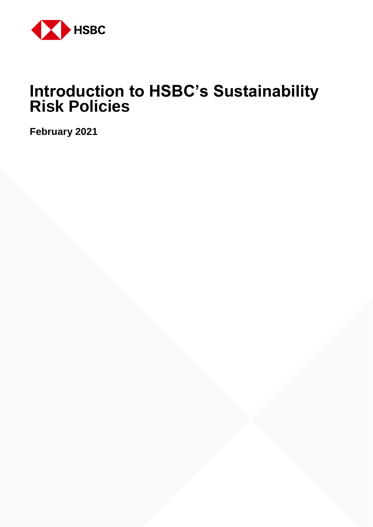

# **Introduction to HSBC's Sustainability Risk Policies**

**February 2021**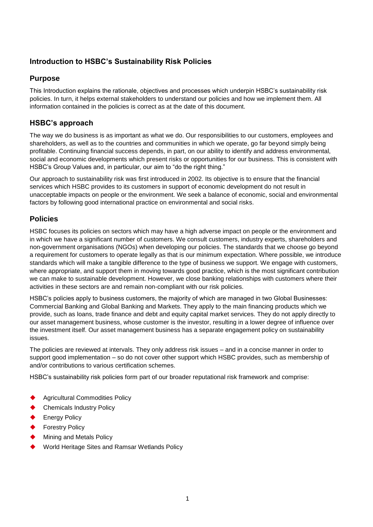## **Introduction to HSBC's Sustainability Risk Policies**

### **Purpose**

This Introduction explains the rationale, objectives and processes which underpin HSBC's sustainability risk policies. In turn, it helps external stakeholders to understand our policies and how we implement them. All information contained in the policies is correct as at the date of this document.

## **HSBC's approach**

The way we do business is as important as what we do. Our responsibilities to our customers, employees and shareholders, as well as to the countries and communities in which we operate, go far beyond simply being profitable. Continuing financial success depends, in part, on our ability to identify and address environmental, social and economic developments which present risks or opportunities for our business. This is consistent with HSBC's Group Values and, in particular, our aim to "do the right thing."

Our approach to sustainability risk was first introduced in 2002. Its objective is to ensure that the financial services which HSBC provides to its customers in support of economic development do not result in unacceptable impacts on people or the environment. We seek a balance of economic, social and environmental factors by following good international practice on environmental and social risks.

## **Policies**

HSBC focuses its policies on sectors which may have a high adverse impact on people or the environment and in which we have a significant number of customers. We consult customers, industry experts, shareholders and non-government organisations (NGOs) when developing our policies. The standards that we choose go beyond a requirement for customers to operate legally as that is our minimum expectation. Where possible, we introduce standards which will make a tangible difference to the type of business we support. We engage with customers, where appropriate, and support them in moving towards good practice, which is the most significant contribution we can make to sustainable development. However, we close banking relationships with customers where their activities in these sectors are and remain non-compliant with our risk policies.

HSBC's policies apply to business customers, the majority of which are managed in two Global Businesses: Commercial Banking and Global Banking and Markets. They apply to the main financing products which we provide, such as loans, trade finance and debt and equity capital market services. They do not apply directly to our asset management business, whose customer is the investor, resulting in a lower degree of influence over the investment itself. Our asset management business has a separate engagement policy on sustainability issues.

The policies are reviewed at intervals. They only address risk issues – and in a concise manner in order to support good implementation – so do not cover other support which HSBC provides, such as membership of and/or contributions to various certification schemes.

HSBC's sustainability risk policies form part of our broader reputational risk framework and comprise:

- Agricultural Commodities Policy
- Chemicals Industry Policy
- Energy Policy
- Forestry Policy
- Mining and Metals Policy
- World Heritage Sites and Ramsar Wetlands Policy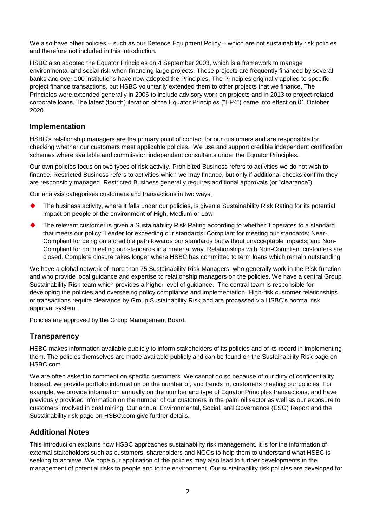We also have other policies – such as our Defence Equipment Policy – which are not sustainability risk policies and therefore not included in this Introduction.

HSBC also adopted the Equator Principles on 4 September 2003, which is a framework to manage environmental and social risk when financing large projects. These projects are frequently financed by several banks and over 100 institutions have now adopted the Principles. The Principles originally applied to specific project finance transactions, but HSBC voluntarily extended them to other projects that we finance. The Principles were extended generally in 2006 to include advisory work on projects and in 2013 to project-related corporate loans. The latest (fourth) iteration of the Equator Principles ("EP4") came into effect on 01 October 2020.

#### **Implementation**

HSBC's relationship managers are the primary point of contact for our customers and are responsible for checking whether our customers meet applicable policies. We use and support credible independent certification schemes where available and commission independent consultants under the Equator Principles.

Our own policies focus on two types of risk activity. Prohibited Business refers to activities we do not wish to finance. Restricted Business refers to activities which we may finance, but only if additional checks confirm they are responsibly managed. Restricted Business generally requires additional approvals (or "clearance").

Our analysis categorises customers and transactions in two ways.

- The business activity, where it falls under our policies, is given a Sustainability Risk Rating for its potential impact on people or the environment of High, Medium or Low
- The relevant customer is given a Sustainability Risk Rating according to whether it operates to a standard that meets our policy: Leader for exceeding our standards; Compliant for meeting our standards; Near-Compliant for being on a credible path towards our standards but without unacceptable impacts; and Non-Compliant for not meeting our standards in a material way. Relationships with Non-Compliant customers are closed. Complete closure takes longer where HSBC has committed to term loans which remain outstanding

We have a global network of more than 75 Sustainability Risk Managers, who generally work in the Risk function and who provide local guidance and expertise to relationship managers on the policies. We have a central Group Sustainability Risk team which provides a higher level of guidance. The central team is responsible for developing the policies and overseeing policy compliance and implementation. High-risk customer relationships or transactions require clearance by Group Sustainability Risk and are processed via HSBC's normal risk approval system.

Policies are approved by the Group Management Board.

#### **Transparency**

HSBC makes information available publicly to inform stakeholders of its policies and of its record in implementing them. The policies themselves are made available publicly and can be found on the Sustainability Risk page on HSBC.com.

We are often asked to comment on specific customers. We cannot do so because of our duty of confidentiality. Instead, we provide portfolio information on the number of, and trends in, customers meeting our policies. For example, we provide information annually on the number and type of Equator Principles transactions, and have previously provided information on the number of our customers in the palm oil sector as well as our exposure to customers involved in coal mining. Our annual Environmental, Social, and Governance (ESG) Report and the Sustainability risk page on HSBC.com give further details.

#### **Additional Notes**

This Introduction explains how HSBC approaches sustainability risk management. It is for the information of external stakeholders such as customers, shareholders and NGOs to help them to understand what HSBC is seeking to achieve. We hope our application of the policies may also lead to further developments in the management of potential risks to people and to the environment. Our sustainability risk policies are developed for